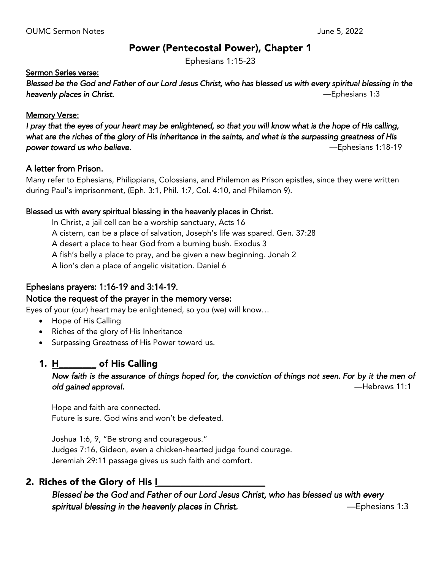## Power (Pentecostal Power), Chapter 1

Ephesians 1:15-23

### Sermon Series verse:

*Blessed be the God and Father of our Lord Jesus Christ, who has blessed us with every spiritual blessing in the heavenly places in Christ.* —Ephesians 1:3

#### **Memory Verse:**

*I pray that the eyes of your heart may be enlightened, so that you will know what is the hope of His calling, what are the riches of the glory of His inheritance in the saints, and what is the surpassing greatness of His power toward us who believe.* —Ephesians 1:18-19

#### A letter from Prison.

Many refer to Ephesians, Philippians, Colossians, and Philemon as Prison epistles, since they were written during Paul's imprisonment, (Eph. 3:1, Phil. 1:7, Col. 4:10, and Philemon 9).

#### Blessed us with every spiritual blessing in the heavenly places in Christ.

In Christ, a jail cell can be a worship sanctuary, Acts 16 A cistern, can be a place of salvation, Joseph's life was spared. Gen. 37:28 A desert a place to hear God from a burning bush. Exodus 3 A fish's belly a place to pray, and be given a new beginning. Jonah 2 A lion's den a place of angelic visitation. Daniel 6

## Ephesians prayers: 1:16-19 and 3:14-19.

## Notice the request of the prayer in the memory verse:

Eyes of your (our) heart may be enlightened, so you (we) will know…

- Hope of His Calling
- Riches of the glory of His Inheritance
- Surpassing Greatness of His Power toward us.

## 1. H\_\_\_\_\_\_\_\_ of His Calling

## *Now faith is the assurance of things hoped for, the conviction of things not seen. For by it the men of old gained approval.* —Hebrews 11:1

Hope and faith are connected. Future is sure. God wins and won't be defeated.

Joshua 1:6, 9, "Be strong and courageous." Judges 7:16, Gideon, even a chicken-hearted judge found courage. Jeremiah 29:11 passage gives us such faith and comfort.

## 2. Riches of the Glory of His I

*Blessed be the God and Father of our Lord Jesus Christ, who has blessed us with every spiritual blessing in the heavenly places in Christ.* —Ephesians 1:3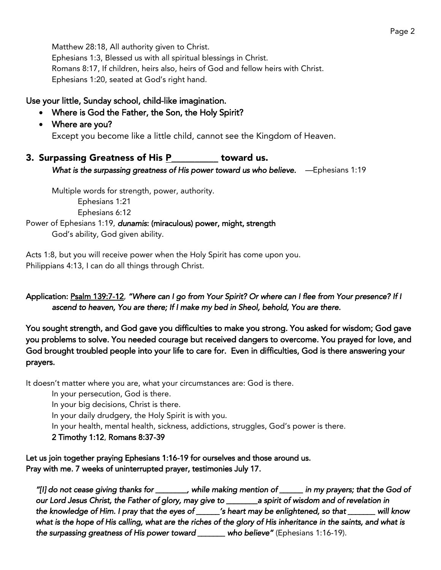Matthew 28:18, All authority given to Christ. Ephesians 1:3, Blessed us with all spiritual blessings in Christ. Romans 8:17, If children, heirs also, heirs of God and fellow heirs with Christ. Ephesians 1:20, seated at God's right hand.

## Use your little, Sunday school, child-like imagination.

- Where is God the Father, the Son, the Holy Spirit?
- Where are you?

Except you become like a little child, cannot see the Kingdom of Heaven.

3. Surpassing Greatness of His P\_\_\_\_\_\_\_\_\_ toward us. *What is the surpassing greatness of His power toward us who believe. — Ephesians 1:19* 

Multiple words for strength, power, authority. Ephesians 1:21 Ephesians 6:12

Power of Ephesians 1:19, *dunamis*: (miraculous) power, might, strength God's ability, God given ability.

Acts 1:8, but you will receive power when the Holy Spirit has come upon you. Philippians 4:13, I can do all things through Christ.

## Application: Psalm 139:7-12, *"Where can I go from Your Spirit? Or where can I flee from Your presence? If I ascend to heaven, You are there; If I make my bed in Sheol, behold, You are there.*

You sought strength, and God gave you difficulties to make you strong. You asked for wisdom; God gave you problems to solve. You needed courage but received dangers to overcome. You prayed for love, and God brought troubled people into your life to care for. Even in difficulties, God is there answering your prayers.

It doesn't matter where you are, what your circumstances are: God is there.

In your persecution, God is there.

In your big decisions, Christ is there.

In your daily drudgery, the Holy Spirit is with you.

In your health, mental health, sickness, addictions, struggles, God's power is there.

2 Timothy 1:12, Romans 8:37-39

Let us join together praying Ephesians 1:16-19 for ourselves and those around us. Pray with me. 7 weeks of uninterrupted prayer, testimonies July 17.

*"[I] do not cease giving thanks for \_\_\_\_\_\_\_\_, while making mention of \_\_\_\_\_\_ in my prayers; that the God of our Lord Jesus Christ, the Father of glory, may give to \_\_\_\_\_\_\_\_a spirit of wisdom and of revelation in the knowledge of Him. I pray that the eyes of \_\_\_\_\_\_'s heart may be enlightened, so that \_\_\_\_\_\_\_ will know what is the hope of His calling, what are the riches of the glory of His inheritance in the saints, and what is the surpassing greatness of His power toward \_\_\_\_\_\_\_ who believe"* (Ephesians 1:16-19).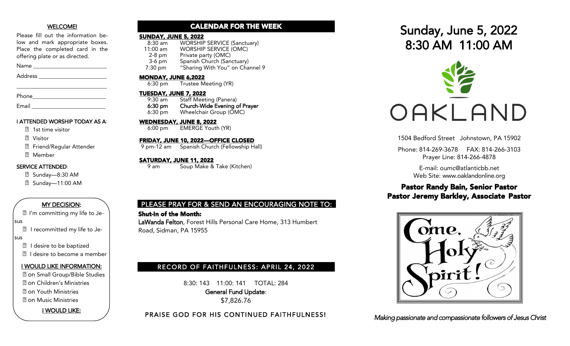#### WELCOME!

Please fill out the information below and mark appropriate boxes. Place the completed card in the offering plate or as directed.

Name \_\_\_\_\_\_\_\_\_\_\_\_\_\_\_\_\_\_\_\_\_\_\_\_\_\_

Address \_\_\_\_\_\_\_\_\_\_\_\_\_\_\_\_\_\_\_\_\_\_\_\_

| Phone |  |  |  |
|-------|--|--|--|
|       |  |  |  |

Email

#### I ATTENDED WORSHIP TODAY AS A:

\_\_\_\_\_\_\_\_\_\_\_\_\_\_\_\_\_\_\_\_\_\_\_\_\_\_\_\_\_\_\_\_

- ⃞ 1st time visitor
- ⃞ Visitor
- **2** Friend/Regular Attender
- ⃞ Member

## SERVICE ATTENDED:

- ⃞ Sunday—8:30 AM
- ⃞ Sunday—11:00 AM

## MY DECISION:

⃞ I'm committing my life to Je-

sus

⃞ I recommitted my life to Je-

- sus
	- ⃞ I desire to be baptized
	- **sqrt** I desire to become a member

#### I WOULD LIKE INFORMATION:

- ⃞ on Small Group/Bible Studies
- ⃞ on Children's Ministries
- ⃞ on Youth Ministries
- ⃞ on Music Ministries

I WOULD LIKE:

## CALENDAR FOR THE WEEK

# **SUNDAY, JUNE 5, 2022**<br>8:30 am WORSHIF

8:30 am WORSHIP SERVICE (Sanctuary)<br>11:00 am WORSHIP SERVICE (OMC) WORSHIP SERVICE (OMC) 2-8 pm Private party (OMC)<br>3-6 pm Spanish Church (San 3-6 pm Spanish Church (Sanctuary)<br>7:30 pm "Sharing With You" on Cha "Sharing With You" on Channel 9

#### MONDAY, JUNE 6,2022

6:30 pm Trustee Meeting (YR)

## TUESDAY, JUNE 7, 2022

9:30 am Staff Meeting (Panera)<br>6:30 pm Church-Wide Evening o Church-Wide Evening of Prayer 6:30 pm Wheelchair Group (OMC)

## WEDNESDAY, JUNE 8, 2022

6:00 pm EMERGE Youth (YR)

#### FRIDAY, JUNE 10, 2022—OFFICE CLOSED

9 pm-12 am Spanish Church (Fellowship Hall)

#### <u>SATURDAY, JUNE 11, 2022</u>

9 am Soup Make & Take (Kitchen)

## PLEASE PRAY FOR & SEND AN ENCOURAGING NOTE TO:

## Shut-In of the Month:

LaWanda Felton, Forest Hills Personal Care Home, 313 Humbert Road, Sidman, PA 15955

## RECORD OF FAITHFULNESS: APRIL 24, 2022

8:30: 143 11:00: 141 TOTAL: 284 General Fund Update: \$7,826.76

PRAISE GOD FOR HIS CONTINUED FAITHFULNESS!

# Sunday, June 5, 2022 8:30 AM 11:00 AM



1504 Bedford Street Johnstown, PA 15902

Phone: 814-269-3678 FAX: 814-266-3103 Prayer Line: 814-266-4878

> E-mail: oumc@atlanticbb.net Web Site: www.oaklandonline.org

## Pastor Randy Bain, Senior Pastor Pastor Jeremy Barkley, Associate Pastor



*Making passionate and compassionate followers of Jesus Christ*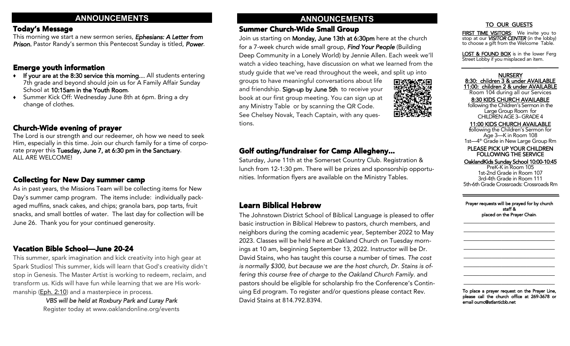## Today's Message

This morning we start a new sermon series, *Ephesians: A Letter from Prison.* Pastor Randy's sermon this Pentecost Sunday is titled, *Power*.

## Emerge youth information

- ♦ If your are at the 8:30 service this morning… All students entering 7th grade and beyond should join us for A Family Affair Sunday School at 10:15am in the Youth Room.
- Summer Kick Off: Wednesday June 8th at 6pm. Bring a dry change of clothes.

## Church-Wide evening of prayer

The Lord is our strength and our redeemer, oh how we need to seek Him, especially in this time. Join our church family for a time of corporate prayer this Tuesday, June 7, at 6:30 pm in the Sanctuary. ALL ARE WELCOME!

## Collecting for New Day summer camp

As in past years, the Missions Team will be collecting items for New Day's summer camp program. The items include: individually packaged muffins, snack cakes, and chips; granola bars, pop tarts, fruit snacks, and small bottles of water. The last day for collection will be June 26. Thank you for your continued generosity.

## Vacation Bible School—June 20-24

This summer, spark imagination and kick creativity into high gear at Spark Studios! This summer, kids will learn that God's creativity didn't stop in Genesis. The Master Artist is working to redeem, reclaim, and transform us. Kids will have fun while learning that we are His workmanship ([Eph. 2:10\)](https://www.biblegateway.com/passage/?search=Ephesians%202%3A10&version=NLT) and a masterpiece in process.

*VBS will be held at Roxbury Park and Luray Park* Register today at www.oaklandonline.org/events

## **ANNOUNCEMENTS ANNOUNCEMENTS**

## Summer Church-Wide Small Group

Join us starting on Monday, June 13th at 6:30pm here at the church for a 7-week church wide small group, *Find Your People* (Building Deep Community in a Lonely World) by Jennie Allen. Each week we'll watch a video teaching, have discussion on what we learned from the study guide that we've read throughout the week, and split up into

groups to have meaningful conversations about life and friendship. Sign-up by June 5th to receive your book at our first group meeting. You can sign up at any Ministry Table or by scanning the QR Code. See Chelsey Novak, Teach Captain, with any questions.



## TO OUR GUESTS

FIRST TIME VISITORS: We invite you to stop at our *VISITOR CENTER* (in the lobby) to choose a gift from the Welcome Table.

LOST & FOUND BOX is in the lower Ferg Street Lobby if you misplaced an item.

**NURSERY** 8:30: children 3 & under AVAILABLE 11:00: children 2 & under AVAILABLE Room 104 during all our Services 8:30 KIDS CHURCH AVAILABLE following the Children's Sermon in the Large Group Room for CHILDREN AGE 3–GRADE 4

 11:00 KIDS CHURCH AVAILABLE following the Children's Sermon for Age 3—K in Room 108 1st—4<sup>th</sup> Grade in New Large Group Rm

PLEASE PICK UP YOUR CHILDREN FOLLOWING THE SERVICE

#### OaklandKids Sunday School 10:00-10:45

PreK-K in Room 105 1st-2nd Grade in Room 107 3rd-4th Grade in Room 111 5th-6th Grade Crossroads: Crossroads Rm

Prayer requests will be prayed for by church staff & placed on the Prayer Chain.

 $\overline{\phantom{a}}$  , where  $\overline{\phantom{a}}$  , where  $\overline{\phantom{a}}$  , where  $\overline{\phantom{a}}$  , where  $\overline{\phantom{a}}$ \_\_\_\_\_\_\_\_\_\_\_\_\_\_\_\_\_\_\_\_\_\_\_\_\_\_\_\_\_ \_\_\_\_\_\_\_\_\_\_\_\_\_\_\_\_\_\_\_\_\_\_\_\_\_\_\_\_\_  $\overline{\phantom{a}}$  , where  $\overline{\phantom{a}}$  , where  $\overline{\phantom{a}}$  , where  $\overline{\phantom{a}}$  , where  $\overline{\phantom{a}}$  $\_$  $\overline{\phantom{a}}$  , where  $\overline{\phantom{a}}$  , where  $\overline{\phantom{a}}$  , where  $\overline{\phantom{a}}$  , where  $\overline{\phantom{a}}$ \_\_\_\_\_\_\_\_\_\_\_\_\_\_\_\_\_\_\_\_\_\_\_\_\_\_\_\_\_ \_\_\_\_\_\_\_\_\_\_\_\_\_\_\_\_\_\_\_\_\_\_\_\_\_\_\_\_\_

To place a prayer request on the Prayer Line, please call the church office at 269-3678 or email oumc@atlanticbb.net

## Golf outing/fundraiser for Camp Allegheny...

Saturday, June 11th at the Somerset Country Club. Registration & lunch from 12-1:30 pm. There will be prizes and sponsorship opportunities. Information flyers are available on the Ministry Tables.

## Learn Biblical Hebrew

The Johnstown District School of Biblical Language is pleased to offer basic instruction in Biblical Hebrew to pastors, church members, and neighbors during the coming academic year, September 2022 to May 2023. Classes will be held here at Oakland Church on Tuesday mornings at 10 am, beginning September 13, 2022. Instructor will be Dr. David Stains, who has taught this course a number of times. *The cost is normally \$300, but because we are the host church, Dr. Stains is offering this course free of charge to the Oakland Church Family*. and pastors should be eligible for scholarship fro the Conference's Continuing Ed program. To register and/or questions please contact Rev. David Stains at 814.792.8394.